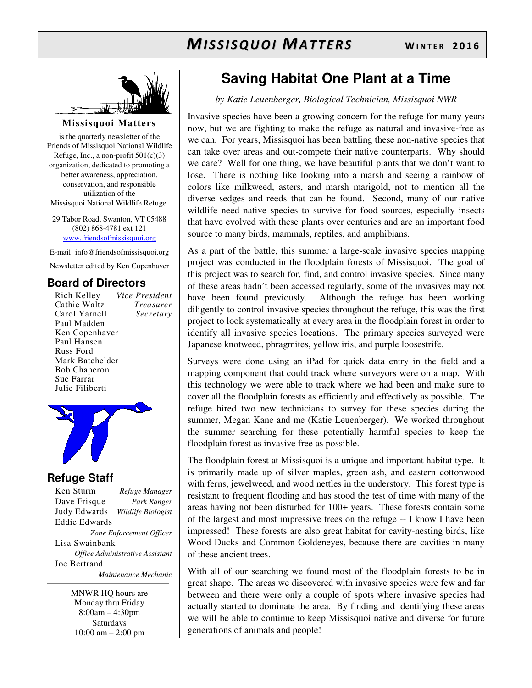

**Missisquoi Matters** 

is the quarterly newsletter of the Friends of Missisquoi National Wildlife Refuge, Inc., a non-profit  $501(c)(3)$ organization, dedicated to promoting a better awareness, appreciation, conservation, and responsible utilization of the Missisquoi National Wildlife Refuge.

29 Tabor Road, Swanton, VT 05488 (802) 868-4781 ext 121 www.friendsofmissisquoi.org

E-mail: info@friendsofmissisquoi.org Newsletter edited by Ken Copenhaver

#### **Board of Directors**

Rich Kelley *Vice President* Cathie Waltz *Treasurer* Carol Yarnell Paul Madden Ken Copenhaver Paul Hansen Russ Ford Mark Batchelder Bob Chaperon Sue Farrar Julie Filiberti



#### **Refuge Staff**

Ken Sturm *Refuge Manager* Dave Frisque *Park Ranger* Judy Edwards *Wildlife Biologist* Eddie Edwards *Zone Enforcement Officer* Lisa Swainbank *Office Administrative Assistant*  Joe Bertrand  *Maintenance Mechanic*

> MNWR HQ hours are Monday thru Friday 8:00am – 4:30pm **Saturdays** 10:00 am – 2:00 pm

## **Saving Habitat One Plant at a Time**

*by Katie Leuenberger, Biological Technician, Missisquoi NWR*

Invasive species have been a growing concern for the refuge for many years now, but we are fighting to make the refuge as natural and invasive-free as we can. For years, Missisquoi has been battling these non-native species that can take over areas and out-compete their native counterparts. Why should we care? Well for one thing, we have beautiful plants that we don't want to lose. There is nothing like looking into a marsh and seeing a rainbow of colors like milkweed, asters, and marsh marigold, not to mention all the diverse sedges and reeds that can be found. Second, many of our native wildlife need native species to survive for food sources, especially insects that have evolved with these plants over centuries and are an important food source to many birds, mammals, reptiles, and amphibians.

As a part of the battle, this summer a large-scale invasive species mapping project was conducted in the floodplain forests of Missisquoi. The goal of this project was to search for, find, and control invasive species. Since many of these areas hadn't been accessed regularly, some of the invasives may not have been found previously. Although the refuge has been working diligently to control invasive species throughout the refuge, this was the first project to look systematically at every area in the floodplain forest in order to identify all invasive species locations. The primary species surveyed were Japanese knotweed, phragmites, yellow iris, and purple loosestrife.

Surveys were done using an iPad for quick data entry in the field and a mapping component that could track where surveyors were on a map. With this technology we were able to track where we had been and make sure to cover all the floodplain forests as efficiently and effectively as possible. The refuge hired two new technicians to survey for these species during the summer, Megan Kane and me (Katie Leuenberger). We worked throughout the summer searching for these potentially harmful species to keep the floodplain forest as invasive free as possible.

The floodplain forest at Missisquoi is a unique and important habitat type. It is primarily made up of silver maples, green ash, and eastern cottonwood with ferns, jewelweed, and wood nettles in the understory. This forest type is resistant to frequent flooding and has stood the test of time with many of the areas having not been disturbed for 100+ years. These forests contain some of the largest and most impressive trees on the refuge -- I know I have been impressed! These forests are also great habitat for cavity-nesting birds, like Wood Ducks and Common Goldeneyes, because there are cavities in many of these ancient trees.

With all of our searching we found most of the floodplain forests to be in great shape. The areas we discovered with invasive species were few and far between and there were only a couple of spots where invasive species had actually started to dominate the area. By finding and identifying these areas we will be able to continue to keep Missisquoi native and diverse for future generations of animals and people!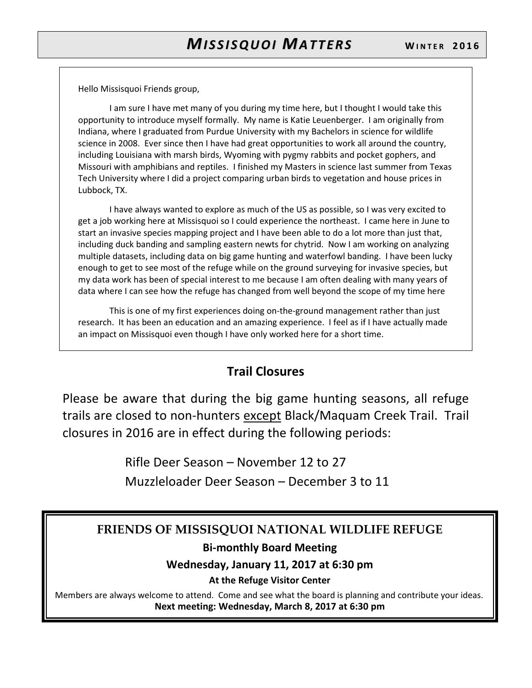Hello Missisquoi Friends group,

I am sure I have met many of you during my time here, but I thought I would take this opportunity to introduce myself formally. My name is Katie Leuenberger. I am originally from Indiana, where I graduated from Purdue University with my Bachelors in science for wildlife science in 2008. Ever since then I have had great opportunities to work all around the country, including Louisiana with marsh birds, Wyoming with pygmy rabbits and pocket gophers, and Missouri with amphibians and reptiles. I finished my Masters in science last summer from Texas Tech University where I did a project comparing urban birds to vegetation and house prices in Lubbock, TX.

I have always wanted to explore as much of the US as possible, so I was very excited to get a job working here at Missisquoi so I could experience the northeast. I came here in June to start an invasive species mapping project and I have been able to do a lot more than just that, including duck banding and sampling eastern newts for chytrid. Now I am working on analyzing multiple datasets, including data on big game hunting and waterfowl banding. I have been lucky enough to get to see most of the refuge while on the ground surveying for invasive species, but my data work has been of special interest to me because I am often dealing with many years of data where I can see how the refuge has changed from well beyond the scope of my time here

This is one of my first experiences doing on-the-ground management rather than just research. It has been an education and an amazing experience. I feel as if I have actually made an impact on Missisquoi even though I have only worked here for a short time.

#### **Trail Closures**

Please be aware that during the big game hunting seasons, all refuge trails are closed to non-hunters except Black/Maquam Creek Trail. Trail closures in 2016 are in effect during the following periods:

> Rifle Deer Season – November 12 to 27 Muzzleloader Deer Season – December 3 to 11

#### **FRIENDS OF MISSISQUOI NATIONAL WILDLIFE REFUGE**

#### **Bi-monthly Board Meeting**

#### **Wednesday, January 11, 2017 at 6:30 pm**

#### **At the Refuge Visitor Center**

Members are always welcome to attend. Come and see what the board is planning and contribute your ideas. **Next meeting: Wednesday, March 8, 2017 at 6:30 pm**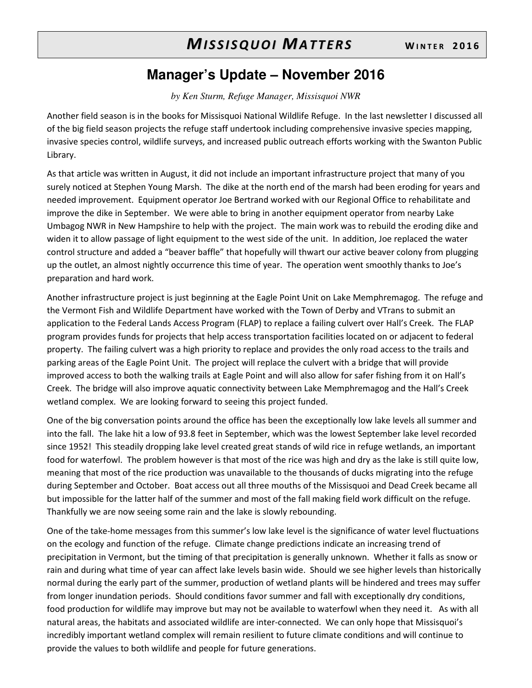## *MISSISQUOI MATTERS* WINTER 2016

## **Manager's Update – November 2016**

*by Ken Sturm, Refuge Manager, Missisquoi NWR* 

Another field season is in the books for Missisquoi National Wildlife Refuge. In the last newsletter I discussed all of the big field season projects the refuge staff undertook including comprehensive invasive species mapping, invasive species control, wildlife surveys, and increased public outreach efforts working with the Swanton Public Library.

As that article was written in August, it did not include an important infrastructure project that many of you surely noticed at Stephen Young Marsh. The dike at the north end of the marsh had been eroding for years and needed improvement. Equipment operator Joe Bertrand worked with our Regional Office to rehabilitate and improve the dike in September. We were able to bring in another equipment operator from nearby Lake Umbagog NWR in New Hampshire to help with the project. The main work was to rebuild the eroding dike and widen it to allow passage of light equipment to the west side of the unit. In addition, Joe replaced the water control structure and added a "beaver baffle" that hopefully will thwart our active beaver colony from plugging up the outlet, an almost nightly occurrence this time of year. The operation went smoothly thanks to Joe's preparation and hard work.

Another infrastructure project is just beginning at the Eagle Point Unit on Lake Memphremagog. The refuge and the Vermont Fish and Wildlife Department have worked with the Town of Derby and VTrans to submit an application to the Federal Lands Access Program (FLAP) to replace a failing culvert over Hall's Creek. The FLAP program provides funds for projects that help access transportation facilities located on or adjacent to federal property. The failing culvert was a high priority to replace and provides the only road access to the trails and parking areas of the Eagle Point Unit. The project will replace the culvert with a bridge that will provide improved access to both the walking trails at Eagle Point and will also allow for safer fishing from it on Hall's Creek. The bridge will also improve aquatic connectivity between Lake Memphremagog and the Hall's Creek wetland complex. We are looking forward to seeing this project funded.

One of the big conversation points around the office has been the exceptionally low lake levels all summer and into the fall. The lake hit a low of 93.8 feet in September, which was the lowest September lake level recorded since 1952! This steadily dropping lake level created great stands of wild rice in refuge wetlands, an important food for waterfowl. The problem however is that most of the rice was high and dry as the lake is still quite low, meaning that most of the rice production was unavailable to the thousands of ducks migrating into the refuge during September and October. Boat access out all three mouths of the Missisquoi and Dead Creek became all but impossible for the latter half of the summer and most of the fall making field work difficult on the refuge. Thankfully we are now seeing some rain and the lake is slowly rebounding.

One of the take-home messages from this summer's low lake level is the significance of water level fluctuations on the ecology and function of the refuge. Climate change predictions indicate an increasing trend of precipitation in Vermont, but the timing of that precipitation is generally unknown. Whether it falls as snow or rain and during what time of year can affect lake levels basin wide. Should we see higher levels than historically normal during the early part of the summer, production of wetland plants will be hindered and trees may suffer from longer inundation periods. Should conditions favor summer and fall with exceptionally dry conditions, food production for wildlife may improve but may not be available to waterfowl when they need it. As with all natural areas, the habitats and associated wildlife are inter-connected. We can only hope that Missisquoi's incredibly important wetland complex will remain resilient to future climate conditions and will continue to provide the values to both wildlife and people for future generations.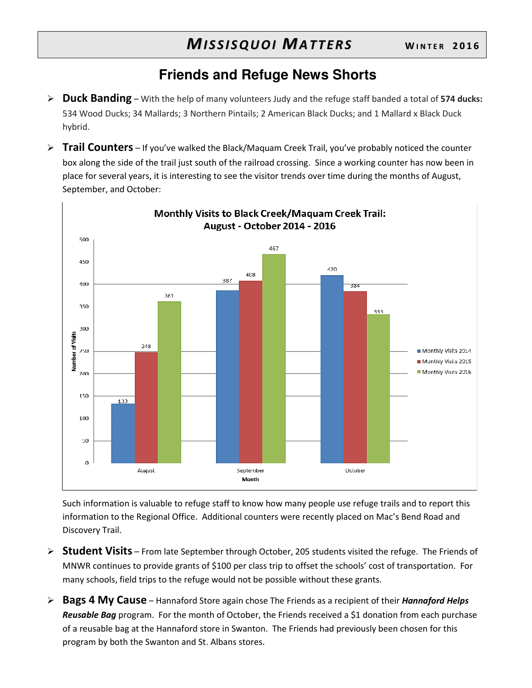## **Friends and Refuge News Shorts**

- **Duck Banding** With the help of many volunteers Judy and the refuge staff banded a total of **574 ducks:**  534 Wood Ducks; 34 Mallards; 3 Northern Pintails; 2 American Black Ducks; and 1 Mallard x Black Duck hybrid.
- **Trail Counters** If you've walked the Black/Maquam Creek Trail, you've probably noticed the counter box along the side of the trail just south of the railroad crossing. Since a working counter has now been in place for several years, it is interesting to see the visitor trends over time during the months of August, September, and October:



Such information is valuable to refuge staff to know how many people use refuge trails and to report this information to the Regional Office. Additional counters were recently placed on Mac's Bend Road and Discovery Trail.

- **Student Visits** From late September through October, 205 students visited the refuge. The Friends of MNWR continues to provide grants of \$100 per class trip to offset the schools' cost of transportation. For many schools, field trips to the refuge would not be possible without these grants.
- **Bags 4 My Cause** Hannaford Store again chose The Friends as a recipient of their *Hannaford Helps Reusable Bag* program. For the month of October, the Friends received a \$1 donation from each purchase of a reusable bag at the Hannaford store in Swanton. The Friends had previously been chosen for this program by both the Swanton and St. Albans stores.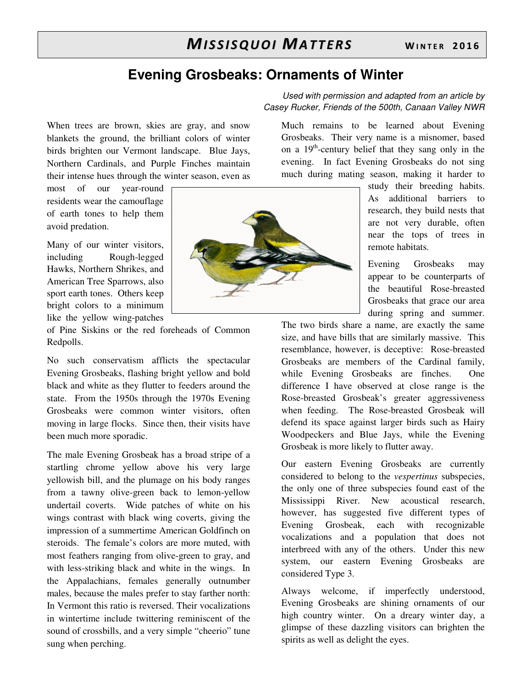### **Evening Grosbeaks: Ornaments of Winter**

When trees are brown, skies are gray, and snow blankets the ground, the brilliant colors of winter birds brighten our Vermont landscape. Blue Jays, Northern Cardinals, and Purple Finches maintain their intense hues through the winter season, even as

most of our year-round residents wear the camouflage of earth tones to help them avoid predation.

Many of our winter visitors, including Rough-legged Hawks, Northern Shrikes, and American Tree Sparrows, also sport earth tones. Others keep bright colors to a minimum like the yellow wing-patches

of Pine Siskins or the red foreheads of Common Redpolls.

No such conservatism afflicts the spectacular Evening Grosbeaks, flashing bright yellow and bold black and white as they flutter to feeders around the state. From the 1950s through the 1970s Evening Grosbeaks were common winter visitors, often moving in large flocks. Since then, their visits have been much more sporadic.

The male Evening Grosbeak has a broad stripe of a startling chrome yellow above his very large yellowish bill, and the plumage on his body ranges from a tawny olive-green back to lemon-yellow undertail coverts. Wide patches of white on his wings contrast with black wing coverts, giving the impression of a summertime American Goldfinch on steroids. The female's colors are more muted, with most feathers ranging from olive-green to gray, and with less-striking black and white in the wings. In the Appalachians, females generally outnumber males, because the males prefer to stay farther north: In Vermont this ratio is reversed. Their vocalizations in wintertime include twittering reminiscent of the sound of crossbills, and a very simple "cheerio" tune sung when perching.



Used with permission and adapted from an article by Casey Rucker, Friends of the 500th, Canaan Valley NWR

Much remains to be learned about Evening Grosbeaks. Their very name is a misnomer, based on a  $19<sup>th</sup>$ -century belief that they sang only in the evening. In fact Evening Grosbeaks do not sing much during mating season, making it harder to

> study their breeding habits. As additional barriers to research, they build nests that are not very durable, often near the tops of trees in remote habitats.

> Evening Grosbeaks may appear to be counterparts of the beautiful Rose-breasted Grosbeaks that grace our area during spring and summer.

The two birds share a name, are exactly the same size, and have bills that are similarly massive. This resemblance, however, is deceptive: Rose-breasted Grosbeaks are members of the Cardinal family, while Evening Grosbeaks are finches. One difference I have observed at close range is the Rose-breasted Grosbeak's greater aggressiveness when feeding. The Rose-breasted Grosbeak will defend its space against larger birds such as Hairy Woodpeckers and Blue Jays, while the Evening Grosbeak is more likely to flutter away.

Our eastern Evening Grosbeaks are currently considered to belong to the *vespertinus* subspecies, the only one of three subspecies found east of the Mississippi River. New acoustical research, however, has suggested five different types of Evening Grosbeak, each with recognizable vocalizations and a population that does not interbreed with any of the others. Under this new system, our eastern Evening Grosbeaks are considered Type 3.

Always welcome, if imperfectly understood, Evening Grosbeaks are shining ornaments of our high country winter. On a dreary winter day, a glimpse of these dazzling visitors can brighten the spirits as well as delight the eyes.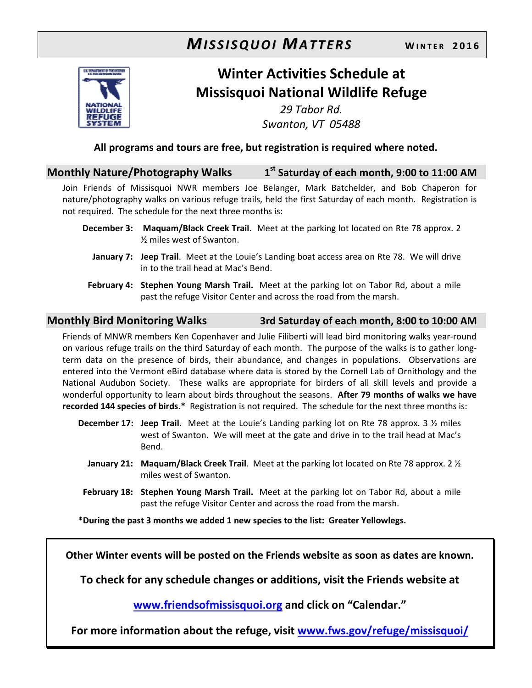## *MISSISQUOI MATTERS* WINTER 2016



## **Winter Activities Schedule at Missisquoi National Wildlife Refuge**

*29 Tabor Rd. Swanton, VT 05488* 

**All programs and tours are free, but registration is required where noted.** 

#### **Monthly Nature/Photography Walks 1 st Saturday of each month, 9:00 to 11:00 AM**

Join Friends of Missisquoi NWR members Joe Belanger, Mark Batchelder, and Bob Chaperon for nature/photography walks on various refuge trails, held the first Saturday of each month. Registration is not required. The schedule for the next three months is:

- **December 3: Maquam/Black Creek Trail.** Meet at the parking lot located on Rte 78 approx. 2 ½ miles west of Swanton.
	- **January 7: Jeep Trail**. Meet at the Louie's Landing boat access area on Rte 78. We will drive in to the trail head at Mac's Bend.
- **February 4: Stephen Young Marsh Trail.** Meet at the parking lot on Tabor Rd, about a mile past the refuge Visitor Center and across the road from the marsh.

#### **Monthly Bird Monitoring Walks 3rd Saturday of each month, 8:00 to 10:00 AM**

Friends of MNWR members Ken Copenhaver and Julie Filiberti will lead bird monitoring walks year-round on various refuge trails on the third Saturday of each month. The purpose of the walks is to gather longterm data on the presence of birds, their abundance, and changes in populations. Observations are entered into the Vermont eBird database where data is stored by the Cornell Lab of Ornithology and the National Audubon Society. These walks are appropriate for birders of all skill levels and provide a wonderful opportunity to learn about birds throughout the seasons. **After 79 months of walks we have recorded 144 species of birds.\*** Registration is not required. The schedule for the next three months is:

- **December 17: Jeep Trail.** Meet at the Louie's Landing parking lot on Rte 78 approx. 3 ½ miles west of Swanton. We will meet at the gate and drive in to the trail head at Mac's Bend.
	- **January 21: Maquam/Black Creek Trail**. Meet at the parking lot located on Rte 78 approx. 2 ½ miles west of Swanton.
- **February 18: Stephen Young Marsh Trail.** Meet at the parking lot on Tabor Rd, about a mile past the refuge Visitor Center and across the road from the marsh.

**\*During the past 3 months we added 1 new species to the list: Greater Yellowlegs.** 

**Other Winter events will be posted on the Friends website as soon as dates are known.** 

**To check for any schedule changes or additions, visit the Friends website at** 

**www.friendsofmissisquoi.org and click on "Calendar."** 

**For more information about the refuge, visit www.fws.gov/refuge/missisquoi/**